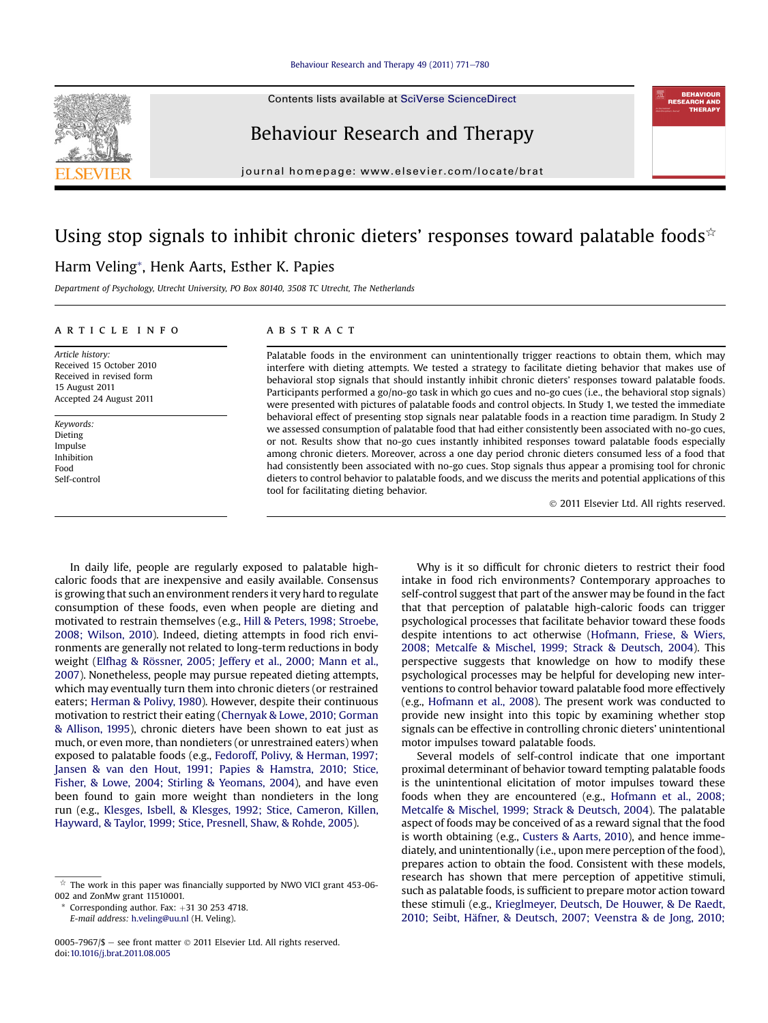Contents lists available at SciVerse ScienceDirect



# Behaviour Research and Therapy

journal homepage: [www.elsevier.com/locate/brat](http://www.elsevier.com/locate/brat)

# Using stop signals to inhibit chronic dieters' responses toward palatable foods $\dot{\mathbf{x}}$

## Harm Veling\*, Henk Aarts, Esther K. Papies

Department of Psychology, Utrecht University, PO Box 80140, 3508 TC Utrecht, The Netherlands

#### article info

Article history: Received 15 October 2010 Received in revised form 15 August 2011 Accepted 24 August 2011

Keywords: Dieting Impulse Inhibition Food Self-control

#### **ABSTRACT**

Palatable foods in the environment can unintentionally trigger reactions to obtain them, which may interfere with dieting attempts. We tested a strategy to facilitate dieting behavior that makes use of behavioral stop signals that should instantly inhibit chronic dieters' responses toward palatable foods. Participants performed a go/no-go task in which go cues and no-go cues (i.e., the behavioral stop signals) were presented with pictures of palatable foods and control objects. In Study 1, we tested the immediate behavioral effect of presenting stop signals near palatable foods in a reaction time paradigm. In Study 2 we assessed consumption of palatable food that had either consistently been associated with no-go cues, or not. Results show that no-go cues instantly inhibited responses toward palatable foods especially among chronic dieters. Moreover, across a one day period chronic dieters consumed less of a food that had consistently been associated with no-go cues. Stop signals thus appear a promising tool for chronic dieters to control behavior to palatable foods, and we discuss the merits and potential applications of this tool for facilitating dieting behavior.

2011 Elsevier Ltd. All rights reserved.

In daily life, people are regularly exposed to palatable highcaloric foods that are inexpensive and easily available. Consensus is growing that such an environment renders it very hard to regulate consumption of these foods, even when people are dieting and motivated to restrain themselves (e.g., [Hill & Peters, 1998; Stroebe,](#page-8-0) [2008; Wilson, 2010](#page-8-0)). Indeed, dieting attempts in food rich environments are generally not related to long-term reductions in body weight ([Elfhag & Rössner, 2005; Jeffery et al., 2000; Mann et al.,](#page-8-0) [2007\)](#page-8-0). Nonetheless, people may pursue repeated dieting attempts, which may eventually turn them into chronic dieters (or restrained eaters; [Herman & Polivy, 1980](#page-8-0)). However, despite their continuous motivation to restrict their eating ([Chernyak & Lowe, 2010; Gorman](#page-8-0) [& Allison, 1995\)](#page-8-0), chronic dieters have been shown to eat just as much, or even more, than nondieters (or unrestrained eaters) when exposed to palatable foods (e.g., [Fedoroff, Polivy, & Herman, 1997;](#page-8-0) [Jansen & van den Hout, 1991; Papies & Hamstra, 2010; Stice,](#page-8-0) [Fisher, & Lowe, 2004; Stirling & Yeomans, 2004](#page-8-0)), and have even been found to gain more weight than nondieters in the long run (e.g., [Klesges, Isbell, & Klesges, 1992; Stice, Cameron, Killen,](#page-8-0) [Hayward, & Taylor, 1999; Stice, Presnell, Shaw, & Rohde, 2005\)](#page-8-0).

Why is it so difficult for chronic dieters to restrict their food intake in food rich environments? Contemporary approaches to self-control suggest that part of the answer may be found in the fact that that perception of palatable high-caloric foods can trigger psychological processes that facilitate behavior toward these foods despite intentions to act otherwise [\(Hofmann, Friese, & Wiers,](#page-8-0) [2008; Metcalfe & Mischel, 1999; Strack & Deutsch, 2004\)](#page-8-0). This perspective suggests that knowledge on how to modify these psychological processes may be helpful for developing new interventions to control behavior toward palatable food more effectively (e.g., [Hofmann et al., 2008](#page-8-0)). The present work was conducted to provide new insight into this topic by examining whether stop signals can be effective in controlling chronic dieters' unintentional motor impulses toward palatable foods.

Several models of self-control indicate that one important proximal determinant of behavior toward tempting palatable foods is the unintentional elicitation of motor impulses toward these foods when they are encountered (e.g., [Hofmann et al., 2008;](#page-8-0) [Metcalfe & Mischel, 1999; Strack & Deutsch, 2004](#page-8-0)). The palatable aspect of foods may be conceived of as a reward signal that the food is worth obtaining (e.g., [Custers & Aarts, 2010](#page-8-0)), and hence immediately, and unintentionally (i.e., upon mere perception of the food), prepares action to obtain the food. Consistent with these models, research has shown that mere perception of appetitive stimuli, such as palatable foods, is sufficient to prepare motor action toward these stimuli (e.g., [Krieglmeyer, Deutsch, De Houwer, & De Raedt,](#page-8-0) [2010; Seibt, Häfner, & Deutsch, 2007; Veenstra & de Jong, 2010;](#page-8-0)

 $\overrightarrow{x}$  The work in this paper was financially supported by NWO VICI grant 453-06-002 and ZonMw grant 11510001.

Corresponding author. Fax:  $+31$  30 253 4718. E-mail address: [h.veling@uu.nl](mailto:h.veling@uu.nl) (H. Veling).

<sup>0005-7967/\$ -</sup> see front matter  $\odot$  2011 Elsevier Ltd. All rights reserved. doi[:10.1016/j.brat.2011.08.005](http://dx.doi.org/10.1016/j.brat.2011.08.005)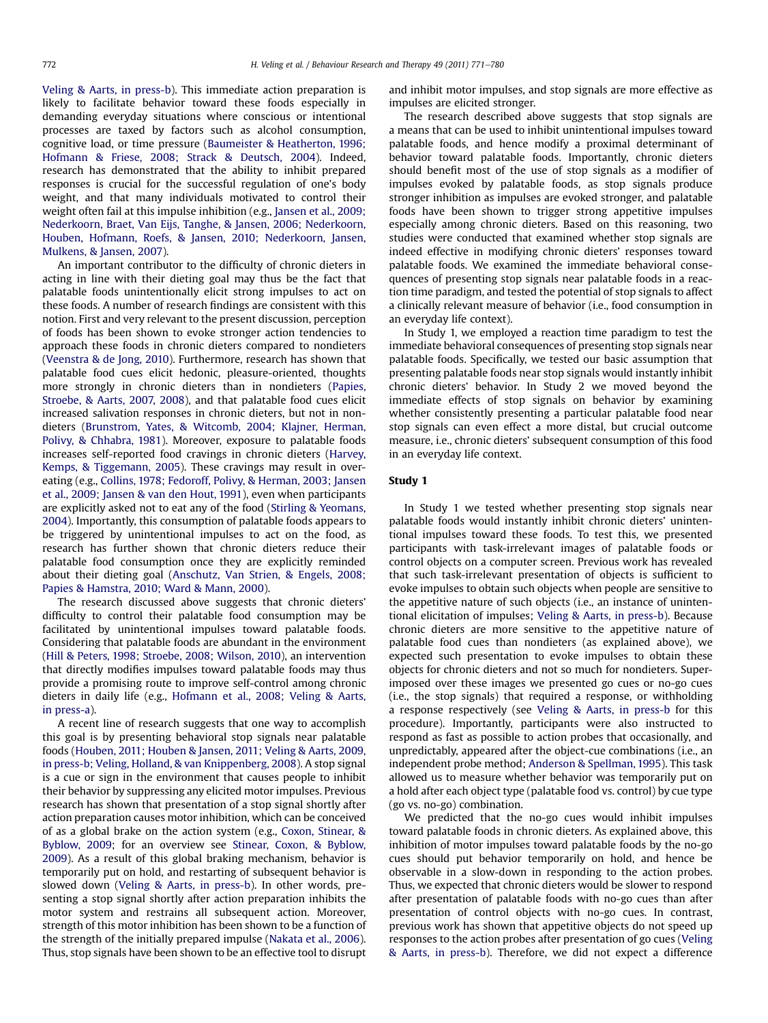[Veling & Aarts, in press-b\)](#page-8-0). This immediate action preparation is likely to facilitate behavior toward these foods especially in demanding everyday situations where conscious or intentional processes are taxed by factors such as alcohol consumption, cognitive load, or time pressure [\(Baumeister & Heatherton, 1996;](#page-8-0) [Hofmann & Friese, 2008; Strack & Deutsch, 2004\)](#page-8-0). Indeed, research has demonstrated that the ability to inhibit prepared responses is crucial for the successful regulation of one's body weight, and that many individuals motivated to control their weight often fail at this impulse inhibition (e.g., [Jansen et al., 2009;](#page-8-0) [Nederkoorn, Braet, Van Eijs, Tanghe, & Jansen, 2006; Nederkoorn,](#page-8-0) [Houben, Hofmann, Roefs, & Jansen, 2010; Nederkoorn, Jansen,](#page-8-0) [Mulkens, & Jansen, 2007](#page-8-0)).

An important contributor to the difficulty of chronic dieters in acting in line with their dieting goal may thus be the fact that palatable foods unintentionally elicit strong impulses to act on these foods. A number of research findings are consistent with this notion. First and very relevant to the present discussion, perception of foods has been shown to evoke stronger action tendencies to approach these foods in chronic dieters compared to nondieters ([Veenstra & de Jong, 2010](#page-8-0)). Furthermore, research has shown that palatable food cues elicit hedonic, pleasure-oriented, thoughts more strongly in chronic dieters than in nondieters ([Papies,](#page-8-0) [Stroebe, & Aarts, 2007, 2008](#page-8-0)), and that palatable food cues elicit increased salivation responses in chronic dieters, but not in nondieters [\(Brunstrom, Yates, & Witcomb, 2004; Klajner, Herman,](#page-8-0) [Polivy, & Chhabra, 1981](#page-8-0)). Moreover, exposure to palatable foods increases self-reported food cravings in chronic dieters ([Harvey,](#page-8-0) [Kemps, & Tiggemann, 2005\)](#page-8-0). These cravings may result in overeating (e.g., [Collins, 1978; Fedoroff, Polivy, & Herman, 2003; Jansen](#page-8-0) [et al., 2009; Jansen & van den Hout, 1991\)](#page-8-0), even when participants are explicitly asked not to eat any of the food [\(Stirling & Yeomans,](#page-8-0) [2004](#page-8-0)). Importantly, this consumption of palatable foods appears to be triggered by unintentional impulses to act on the food, as research has further shown that chronic dieters reduce their palatable food consumption once they are explicitly reminded about their dieting goal ([Anschutz, Van Strien, & Engels, 2008;](#page-7-0) [Papies & Hamstra, 2010; Ward & Mann, 2000\)](#page-7-0).

The research discussed above suggests that chronic dieters' difficulty to control their palatable food consumption may be facilitated by unintentional impulses toward palatable foods. Considering that palatable foods are abundant in the environment ([Hill & Peters, 1998; Stroebe, 2008; Wilson, 2010\)](#page-8-0), an intervention that directly modifies impulses toward palatable foods may thus provide a promising route to improve self-control among chronic dieters in daily life (e.g., [Hofmann et al., 2008; Veling & Aarts,](#page-8-0) [in press-a\)](#page-8-0).

A recent line of research suggests that one way to accomplish this goal is by presenting behavioral stop signals near palatable foods [\(Houben, 2011; Houben & Jansen, 2011; Veling & Aarts, 2009,](#page-8-0) [in press-b; Veling, Holland, & van Knippenberg, 2008\)](#page-8-0). A stop signal is a cue or sign in the environment that causes people to inhibit their behavior by suppressing any elicited motor impulses. Previous research has shown that presentation of a stop signal shortly after action preparation causes motor inhibition, which can be conceived of as a global brake on the action system (e.g., [Coxon, Stinear, &](#page-8-0) [Byblow, 2009;](#page-8-0) for an overview see [Stinear, Coxon, & Byblow,](#page-8-0) [2009](#page-8-0)). As a result of this global braking mechanism, behavior is temporarily put on hold, and restarting of subsequent behavior is slowed down [\(Veling & Aarts, in press-b](#page-8-0)). In other words, presenting a stop signal shortly after action preparation inhibits the motor system and restrains all subsequent action. Moreover, strength of this motor inhibition has been shown to be a function of the strength of the initially prepared impulse ([Nakata et al., 2006\)](#page-8-0). Thus, stop signals have been shown to be an effective tool to disrupt and inhibit motor impulses, and stop signals are more effective as impulses are elicited stronger.

The research described above suggests that stop signals are a means that can be used to inhibit unintentional impulses toward palatable foods, and hence modify a proximal determinant of behavior toward palatable foods. Importantly, chronic dieters should benefit most of the use of stop signals as a modifier of impulses evoked by palatable foods, as stop signals produce stronger inhibition as impulses are evoked stronger, and palatable foods have been shown to trigger strong appetitive impulses especially among chronic dieters. Based on this reasoning, two studies were conducted that examined whether stop signals are indeed effective in modifying chronic dieters' responses toward palatable foods. We examined the immediate behavioral consequences of presenting stop signals near palatable foods in a reaction time paradigm, and tested the potential of stop signals to affect a clinically relevant measure of behavior (i.e., food consumption in an everyday life context).

In Study 1, we employed a reaction time paradigm to test the immediate behavioral consequences of presenting stop signals near palatable foods. Specifically, we tested our basic assumption that presenting palatable foods near stop signals would instantly inhibit chronic dieters' behavior. In Study 2 we moved beyond the immediate effects of stop signals on behavior by examining whether consistently presenting a particular palatable food near stop signals can even effect a more distal, but crucial outcome measure, i.e., chronic dieters' subsequent consumption of this food in an everyday life context.

#### Study 1

In Study 1 we tested whether presenting stop signals near palatable foods would instantly inhibit chronic dieters' unintentional impulses toward these foods. To test this, we presented participants with task-irrelevant images of palatable foods or control objects on a computer screen. Previous work has revealed that such task-irrelevant presentation of objects is sufficient to evoke impulses to obtain such objects when people are sensitive to the appetitive nature of such objects (i.e., an instance of unintentional elicitation of impulses; [Veling & Aarts, in press-b\)](#page-8-0). Because chronic dieters are more sensitive to the appetitive nature of palatable food cues than nondieters (as explained above), we expected such presentation to evoke impulses to obtain these objects for chronic dieters and not so much for nondieters. Superimposed over these images we presented go cues or no-go cues (i.e., the stop signals) that required a response, or withholding a response respectively (see [Veling & Aarts, in press-b](#page-8-0) for this procedure). Importantly, participants were also instructed to respond as fast as possible to action probes that occasionally, and unpredictably, appeared after the object-cue combinations (i.e., an independent probe method; [Anderson & Spellman, 1995\)](#page-7-0). This task allowed us to measure whether behavior was temporarily put on a hold after each object type (palatable food vs. control) by cue type (go vs. no-go) combination.

We predicted that the no-go cues would inhibit impulses toward palatable foods in chronic dieters. As explained above, this inhibition of motor impulses toward palatable foods by the no-go cues should put behavior temporarily on hold, and hence be observable in a slow-down in responding to the action probes. Thus, we expected that chronic dieters would be slower to respond after presentation of palatable foods with no-go cues than after presentation of control objects with no-go cues. In contrast, previous work has shown that appetitive objects do not speed up responses to the action probes after presentation of go cues ([Veling](#page-8-0) [& Aarts, in press-b\)](#page-8-0). Therefore, we did not expect a difference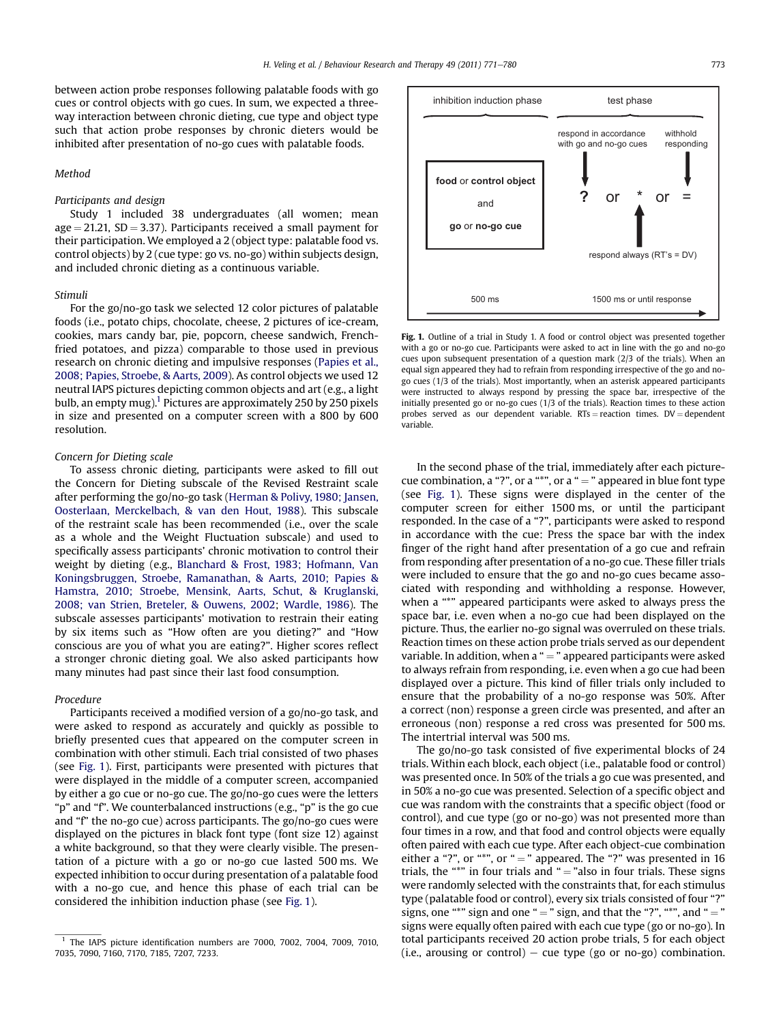between action probe responses following palatable foods with go cues or control objects with go cues. In sum, we expected a threeway interaction between chronic dieting, cue type and object type such that action probe responses by chronic dieters would be inhibited after presentation of no-go cues with palatable foods.

### Method

### Participants and design

Study 1 included 38 undergraduates (all women; mean  $age = 21.21$ , SD = 3.37). Participants received a small payment for their participation. We employed a 2 (object type: palatable food vs. control objects) by 2 (cue type: go vs. no-go) within subjects design, and included chronic dieting as a continuous variable.

#### Stimuli

For the go/no-go task we selected 12 color pictures of palatable foods (i.e., potato chips, chocolate, cheese, 2 pictures of ice-cream, cookies, mars candy bar, pie, popcorn, cheese sandwich, Frenchfried potatoes, and pizza) comparable to those used in previous research on chronic dieting and impulsive responses ([Papies et al.,](#page-8-0) [2008; Papies, Stroebe, & Aarts, 2009\)](#page-8-0). As control objects we used 12 neutral IAPS pictures depicting common objects and art (e.g., a light bulb, an empty mug).<sup>1</sup> Pictures are approximately 250 by 250 pixels in size and presented on a computer screen with a 800 by 600 resolution.

#### Concern for Dieting scale

To assess chronic dieting, participants were asked to fill out the Concern for Dieting subscale of the Revised Restraint scale after performing the go/no-go task ([Herman & Polivy, 1980; Jansen,](#page-8-0) [Oosterlaan, Merckelbach, & van den Hout, 1988\)](#page-8-0). This subscale of the restraint scale has been recommended (i.e., over the scale as a whole and the Weight Fluctuation subscale) and used to specifically assess participants' chronic motivation to control their weight by dieting (e.g., [Blanchard & Frost, 1983; Hofmann, Van](#page-8-0) [Koningsbruggen, Stroebe, Ramanathan, & Aarts, 2010; Papies &](#page-8-0) [Hamstra, 2010; Stroebe, Mensink, Aarts, Schut, & Kruglanski,](#page-8-0) [2008; van Strien, Breteler, & Ouwens, 2002;](#page-8-0) [Wardle, 1986](#page-9-0)). The subscale assesses participants' motivation to restrain their eating by six items such as "How often are you dieting?" and "How conscious are you of what you are eating?". Higher scores reflect a stronger chronic dieting goal. We also asked participants how many minutes had past since their last food consumption.

#### Procedure

Participants received a modified version of a go/no-go task, and were asked to respond as accurately and quickly as possible to briefly presented cues that appeared on the computer screen in combination with other stimuli. Each trial consisted of two phases (see Fig. 1). First, participants were presented with pictures that were displayed in the middle of a computer screen, accompanied by either a go cue or no-go cue. The go/no-go cues were the letters "p" and "f". We counterbalanced instructions (e.g., "p" is the go cue and "f" the no-go cue) across participants. The go/no-go cues were displayed on the pictures in black font type (font size 12) against a white background, so that they were clearly visible. The presentation of a picture with a go or no-go cue lasted 500 ms. We expected inhibition to occur during presentation of a palatable food with a no-go cue, and hence this phase of each trial can be considered the inhibition induction phase (see Fig. 1).



Fig. 1. Outline of a trial in Study 1. A food or control object was presented together with a go or no-go cue. Participants were asked to act in line with the go and no-go cues upon subsequent presentation of a question mark (2/3 of the trials). When an equal sign appeared they had to refrain from responding irrespective of the go and nogo cues (1/3 of the trials). Most importantly, when an asterisk appeared participants were instructed to always respond by pressing the space bar, irrespective of the initially presented go or no-go cues (1/3 of the trials). Reaction times to these action probes served as our dependent variable.  $RTs = reaction$  times.  $DV = dependent$ variable.

In the second phase of the trial, immediately after each picturecue combination, a "?", or a "\*", or a " = " appeared in blue font type (see Fig. 1). These signs were displayed in the center of the computer screen for either 1500 ms, or until the participant responded. In the case of a "?", participants were asked to respond in accordance with the cue: Press the space bar with the index finger of the right hand after presentation of a go cue and refrain from responding after presentation of a no-go cue. These filler trials were included to ensure that the go and no-go cues became associated with responding and withholding a response. However, when a "\*" appeared participants were asked to always press the space bar, i.e. even when a no-go cue had been displayed on the picture. Thus, the earlier no-go signal was overruled on these trials. Reaction times on these action probe trials served as our dependent variable. In addition, when  $a^* = "$  appeared participants were asked to always refrain from responding, i.e. even when a go cue had been displayed over a picture. This kind of filler trials only included to ensure that the probability of a no-go response was 50%. After a correct (non) response a green circle was presented, and after an erroneous (non) response a red cross was presented for 500 ms. The intertrial interval was 500 ms.

The go/no-go task consisted of five experimental blocks of 24 trials. Within each block, each object (i.e., palatable food or control) was presented once. In 50% of the trials a go cue was presented, and in 50% a no-go cue was presented. Selection of a specific object and cue was random with the constraints that a specific object (food or control), and cue type (go or no-go) was not presented more than four times in a row, and that food and control objects were equally often paired with each cue type. After each object-cue combination either a "?", or "\*", or " = " appeared. The "?" was presented in  $16$ trials, the "\*" in four trials and " = "also in four trials. These signs were randomly selected with the constraints that, for each stimulus type (palatable food or control), every six trials consisted of four "?" signs, one "\*" sign and one " = " sign, and that the "?", "\*", and " = " signs were equally often paired with each cue type (go or no-go). In total participants received 20 action probe trials, 5 for each object (i.e., arousing or control) – cue type (go or no-go) combination.

 $1$  The IAPS picture identification numbers are 7000, 7002, 7004, 7009, 7010, 7035, 7090, 7160, 7170, 7185, 7207, 7233.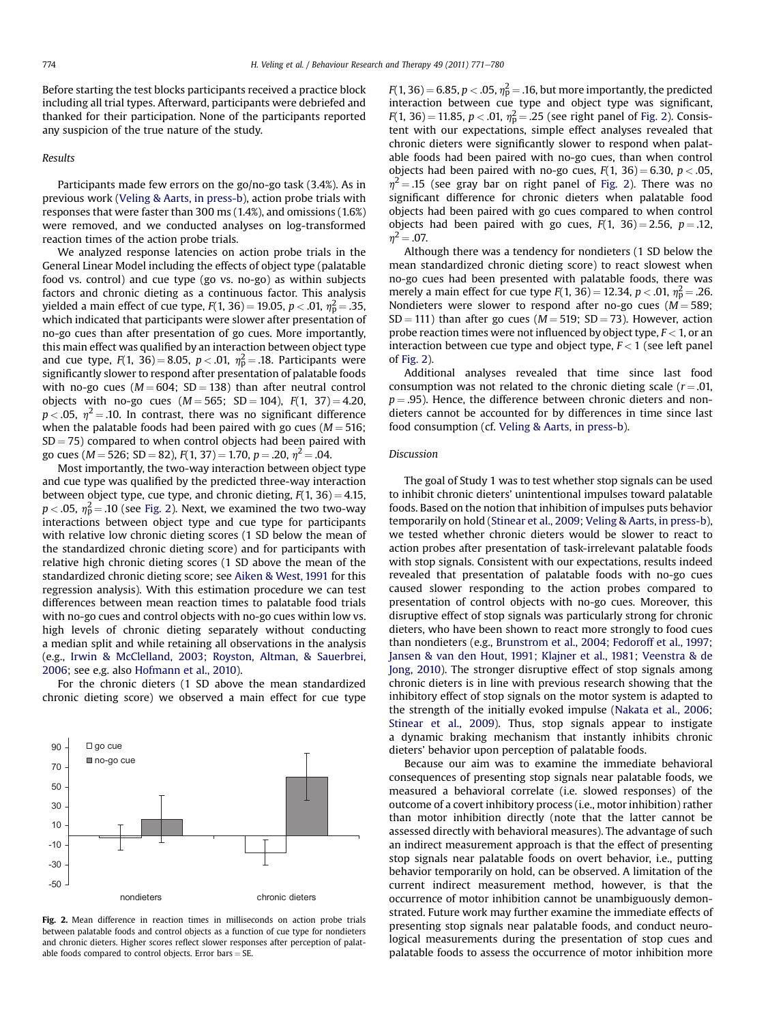Before starting the test blocks participants received a practice block including all trial types. Afterward, participants were debriefed and thanked for their participation. None of the participants reported any suspicion of the true nature of the study.

#### Results

Participants made few errors on the go/no-go task (3.4%). As in previous work ([Veling & Aarts, in press-b](#page-8-0)), action probe trials with responses that were faster than 300 ms (1.4%), and omissions (1.6%) were removed, and we conducted analyses on log-transformed reaction times of the action probe trials.

We analyzed response latencies on action probe trials in the General Linear Model including the effects of object type (palatable food vs. control) and cue type (go vs. no-go) as within subjects factors and chronic dieting as a continuous factor. This analysis yielded a main effect of cue type,  $F(1, 36) = 19.05$ ,  $p < .01$ ,  $\eta_{\rm p}^2 = .35$ , which indicated that participants were slower after presentation of no-go cues than after presentation of go cues. More importantly, this main effect was qualified by an interaction between object type and cue type,  $F(1, 36) = 8.05$ ,  $p < .01$ ,  $\eta_p^2 = .18$ . Participants were significantly slower to respond after presentation of palatable foods with no-go cues ( $M = 604$ ; SD = 138) than after neutral control objects with no-go cues  $(M = 565; SD = 104)$ ,  $F(1, 37) = 4.20$ ,  $p < .05$ ,  $\eta^2 = .10$ . In contrast, there was no significant difference when the palatable foods had been paired with go cues ( $M = 516$ ;  $SD = 75$ ) compared to when control objects had been paired with go cues ( $M = 526$ ; SD = 82),  $F(1, 37) = 1.70$ ,  $p = .20$ ,  $\eta^2 = .04$ .

Most importantly, the two-way interaction between object type and cue type was qualified by the predicted three-way interaction between object type, cue type, and chronic dieting,  $F(1, 36) = 4.15$ ,  $p < .05$ ,  $\eta_{\rm p}^2 = .10$  (see Fig. 2). Next, we examined the two two-way interactions between object type and cue type for participants with relative low chronic dieting scores (1 SD below the mean of the standardized chronic dieting score) and for participants with relative high chronic dieting scores (1 SD above the mean of the standardized chronic dieting score; see [Aiken & West, 1991](#page-7-0) for this regression analysis). With this estimation procedure we can test differences between mean reaction times to palatable food trials with no-go cues and control objects with no-go cues within low vs. high levels of chronic dieting separately without conducting a median split and while retaining all observations in the analysis (e.g., [Irwin & McClelland, 2003; Royston, Altman, & Sauerbrei,](#page-8-0) [2006](#page-8-0); see e.g. also [Hofmann et al., 2010](#page-8-0)).

For the chronic dieters (1 SD above the mean standardized chronic dieting score) we observed a main effect for cue type



Fig. 2. Mean difference in reaction times in milliseconds on action probe trials between palatable foods and control objects as a function of cue type for nondieters and chronic dieters. Higher scores reflect slower responses after perception of palatable foods compared to control objects. Error bars  $=$  SE.

 $F(1, 36) = 6.85, p < .05, \eta_{\rm p}^2 = .16$ , but more importantly, the predicted interaction between cue type and object type was significant,  $F(1, 36) = 11.85, p < .01, \eta_{\rm p}^2 = .25$  (see right panel of Fig. 2). Consistent with our expectations, simple effect analyses revealed that chronic dieters were significantly slower to respond when palatable foods had been paired with no-go cues, than when control objects had been paired with no-go cues,  $F(1, 36) = 6.30$ ,  $p < .05$ ,  $\eta^2$  = .15 (see gray bar on right panel of Fig. 2). There was no significant difference for chronic dieters when palatable food objects had been paired with go cues compared to when control objects had been paired with go cues,  $F(1, 36) = 2.56$ ,  $p = .12$ ,  $n^2 = .07$ .

Although there was a tendency for nondieters (1 SD below the mean standardized chronic dieting score) to react slowest when no-go cues had been presented with palatable foods, there was merely a main effect for cue type  $F(1, 36) = 12.34$ ,  $p < .01$ ,  $\eta_{\rm p}^2 = .26$ . Nondieters were slower to respond after no-go cues ( $M = 589$ ;  $SD = 111$ ) than after go cues ( $M = 519$ ;  $SD = 73$ ). However, action probe reaction times were not influenced by object type,  $F < 1$ , or an interaction between cue type and object type,  $F < 1$  (see left panel of Fig. 2).

Additional analyses revealed that time since last food consumption was not related to the chronic dieting scale  $(r = .01, ...)$  $p = .95$ ). Hence, the difference between chronic dieters and nondieters cannot be accounted for by differences in time since last food consumption (cf. [Veling & Aarts, in press-b\)](#page-8-0).

#### Discussion

The goal of Study 1 was to test whether stop signals can be used to inhibit chronic dieters' unintentional impulses toward palatable foods. Based on the notion that inhibition of impulses puts behavior temporarily on hold [\(Stinear et al., 2009; Veling & Aarts, in press-b\)](#page-8-0), we tested whether chronic dieters would be slower to react to action probes after presentation of task-irrelevant palatable foods with stop signals. Consistent with our expectations, results indeed revealed that presentation of palatable foods with no-go cues caused slower responding to the action probes compared to presentation of control objects with no-go cues. Moreover, this disruptive effect of stop signals was particularly strong for chronic dieters, who have been shown to react more strongly to food cues than nondieters (e.g., [Brunstrom et al., 2004; Fedoroff et al., 1997;](#page-8-0) [Jansen & van den Hout, 1991; Klajner et al., 1981; Veenstra & de](#page-8-0) [Jong, 2010\)](#page-8-0). The stronger disruptive effect of stop signals among chronic dieters is in line with previous research showing that the inhibitory effect of stop signals on the motor system is adapted to the strength of the initially evoked impulse [\(Nakata et al., 2006;](#page-8-0) [Stinear et al., 2009](#page-8-0)). Thus, stop signals appear to instigate a dynamic braking mechanism that instantly inhibits chronic dieters' behavior upon perception of palatable foods.

Because our aim was to examine the immediate behavioral consequences of presenting stop signals near palatable foods, we measured a behavioral correlate (i.e. slowed responses) of the outcome of a covert inhibitory process (i.e., motor inhibition) rather than motor inhibition directly (note that the latter cannot be assessed directly with behavioral measures). The advantage of such an indirect measurement approach is that the effect of presenting stop signals near palatable foods on overt behavior, i.e., putting behavior temporarily on hold, can be observed. A limitation of the current indirect measurement method, however, is that the occurrence of motor inhibition cannot be unambiguously demonstrated. Future work may further examine the immediate effects of presenting stop signals near palatable foods, and conduct neurological measurements during the presentation of stop cues and palatable foods to assess the occurrence of motor inhibition more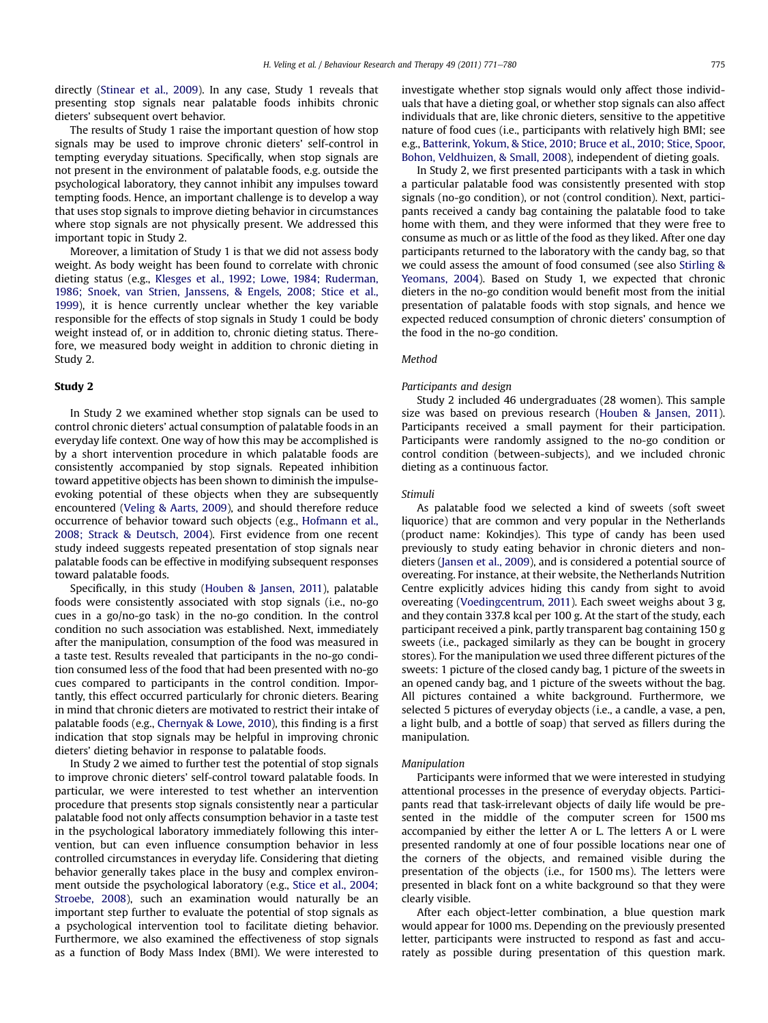directly [\(Stinear et al., 2009\)](#page-8-0). In any case, Study 1 reveals that presenting stop signals near palatable foods inhibits chronic dieters' subsequent overt behavior.

The results of Study 1 raise the important question of how stop signals may be used to improve chronic dieters' self-control in tempting everyday situations. Specifically, when stop signals are not present in the environment of palatable foods, e.g. outside the psychological laboratory, they cannot inhibit any impulses toward tempting foods. Hence, an important challenge is to develop a way that uses stop signals to improve dieting behavior in circumstances where stop signals are not physically present. We addressed this important topic in Study 2.

Moreover, a limitation of Study 1 is that we did not assess body weight. As body weight has been found to correlate with chronic dieting status (e.g., [Klesges et al., 1992; Lowe, 1984; Ruderman,](#page-8-0) [1986; Snoek, van Strien, Janssens, & Engels, 2008; Stice et al.,](#page-8-0) [1999\)](#page-8-0), it is hence currently unclear whether the key variable responsible for the effects of stop signals in Study 1 could be body weight instead of, or in addition to, chronic dieting status. Therefore, we measured body weight in addition to chronic dieting in Study 2.

#### Study 2

In Study 2 we examined whether stop signals can be used to control chronic dieters' actual consumption of palatable foods in an everyday life context. One way of how this may be accomplished is by a short intervention procedure in which palatable foods are consistently accompanied by stop signals. Repeated inhibition toward appetitive objects has been shown to diminish the impulseevoking potential of these objects when they are subsequently encountered [\(Veling & Aarts, 2009](#page-8-0)), and should therefore reduce occurrence of behavior toward such objects (e.g., [Hofmann et al.,](#page-8-0) [2008; Strack & Deutsch, 2004\)](#page-8-0). First evidence from one recent study indeed suggests repeated presentation of stop signals near palatable foods can be effective in modifying subsequent responses toward palatable foods.

Specifically, in this study [\(Houben & Jansen, 2011](#page-8-0)), palatable foods were consistently associated with stop signals (i.e., no-go cues in a go/no-go task) in the no-go condition. In the control condition no such association was established. Next, immediately after the manipulation, consumption of the food was measured in a taste test. Results revealed that participants in the no-go condition consumed less of the food that had been presented with no-go cues compared to participants in the control condition. Importantly, this effect occurred particularly for chronic dieters. Bearing in mind that chronic dieters are motivated to restrict their intake of palatable foods (e.g., [Chernyak & Lowe, 2010](#page-8-0)), this finding is a first indication that stop signals may be helpful in improving chronic dieters' dieting behavior in response to palatable foods.

In Study 2 we aimed to further test the potential of stop signals to improve chronic dieters' self-control toward palatable foods. In particular, we were interested to test whether an intervention procedure that presents stop signals consistently near a particular palatable food not only affects consumption behavior in a taste test in the psychological laboratory immediately following this intervention, but can even influence consumption behavior in less controlled circumstances in everyday life. Considering that dieting behavior generally takes place in the busy and complex environment outside the psychological laboratory (e.g., [Stice et al., 2004;](#page-8-0) [Stroebe, 2008\)](#page-8-0), such an examination would naturally be an important step further to evaluate the potential of stop signals as a psychological intervention tool to facilitate dieting behavior. Furthermore, we also examined the effectiveness of stop signals as a function of Body Mass Index (BMI). We were interested to investigate whether stop signals would only affect those individuals that have a dieting goal, or whether stop signals can also affect individuals that are, like chronic dieters, sensitive to the appetitive nature of food cues (i.e., participants with relatively high BMI; see e.g., [Batterink, Yokum, & Stice, 2010; Bruce et al., 2010; Stice, Spoor,](#page-8-0) Bohon, [Veldhuizen, & Small, 2008\)](#page-8-0), independent of dieting goals.

In Study 2, we first presented participants with a task in which a particular palatable food was consistently presented with stop signals (no-go condition), or not (control condition). Next, participants received a candy bag containing the palatable food to take home with them, and they were informed that they were free to consume as much or as little of the food as they liked. After one day participants returned to the laboratory with the candy bag, so that we could assess the amount of food consumed (see also [Stirling &](#page-8-0) [Yeomans, 2004](#page-8-0)). Based on Study 1, we expected that chronic dieters in the no-go condition would benefit most from the initial presentation of palatable foods with stop signals, and hence we expected reduced consumption of chronic dieters' consumption of the food in the no-go condition.

#### Method

#### Participants and design

Study 2 included 46 undergraduates (28 women). This sample size was based on previous research ([Houben & Jansen, 2011\)](#page-8-0). Participants received a small payment for their participation. Participants were randomly assigned to the no-go condition or control condition (between-subjects), and we included chronic dieting as a continuous factor.

#### Stimuli

As palatable food we selected a kind of sweets (soft sweet liquorice) that are common and very popular in the Netherlands (product name: Kokindjes). This type of candy has been used previously to study eating behavior in chronic dieters and nondieters ([Jansen et al., 2009\)](#page-8-0), and is considered a potential source of overeating. For instance, at their website, the Netherlands Nutrition Centre explicitly advices hiding this candy from sight to avoid overeating [\(Voedingcentrum, 2011\)](#page-9-0). Each sweet weighs about 3 g, and they contain 337.8 kcal per 100 g. At the start of the study, each participant received a pink, partly transparent bag containing 150 g sweets (i.e., packaged similarly as they can be bought in grocery stores). For the manipulation we used three different pictures of the sweets: 1 picture of the closed candy bag, 1 picture of the sweets in an opened candy bag, and 1 picture of the sweets without the bag. All pictures contained a white background. Furthermore, we selected 5 pictures of everyday objects (i.e., a candle, a vase, a pen, a light bulb, and a bottle of soap) that served as fillers during the manipulation.

#### Manipulation

Participants were informed that we were interested in studying attentional processes in the presence of everyday objects. Participants read that task-irrelevant objects of daily life would be presented in the middle of the computer screen for 1500 ms accompanied by either the letter A or L. The letters A or L were presented randomly at one of four possible locations near one of the corners of the objects, and remained visible during the presentation of the objects (i.e., for 1500 ms). The letters were presented in black font on a white background so that they were clearly visible.

After each object-letter combination, a blue question mark would appear for 1000 ms. Depending on the previously presented letter, participants were instructed to respond as fast and accurately as possible during presentation of this question mark.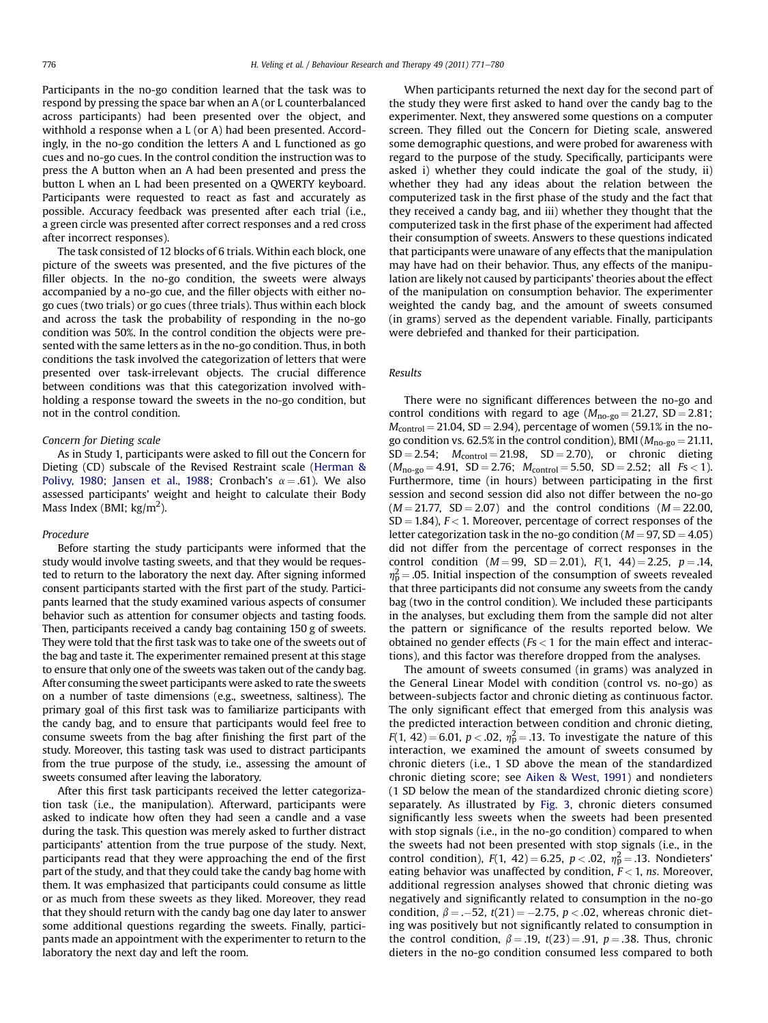Participants in the no-go condition learned that the task was to respond by pressing the space bar when an A (or L counterbalanced across participants) had been presented over the object, and withhold a response when a L (or A) had been presented. Accordingly, in the no-go condition the letters A and L functioned as go cues and no-go cues. In the control condition the instruction was to press the A button when an A had been presented and press the button L when an L had been presented on a QWERTY keyboard. Participants were requested to react as fast and accurately as possible. Accuracy feedback was presented after each trial (i.e., a green circle was presented after correct responses and a red cross after incorrect responses).

The task consisted of 12 blocks of 6 trials. Within each block, one picture of the sweets was presented, and the five pictures of the filler objects. In the no-go condition, the sweets were always accompanied by a no-go cue, and the filler objects with either nogo cues (two trials) or go cues (three trials). Thus within each block and across the task the probability of responding in the no-go condition was 50%. In the control condition the objects were presented with the same letters as in the no-go condition. Thus, in both conditions the task involved the categorization of letters that were presented over task-irrelevant objects. The crucial difference between conditions was that this categorization involved withholding a response toward the sweets in the no-go condition, but not in the control condition.

#### Concern for Dieting scale

As in Study 1, participants were asked to fill out the Concern for Dieting (CD) subscale of the Revised Restraint scale ([Herman &](#page-8-0) [Polivy, 1980; Jansen et al., 1988;](#page-8-0) Cronbach's  $\alpha = .61$ ). We also assessed participants' weight and height to calculate their Body Mass Index (BMI;  $\text{kg/m}^2$ ).

#### Procedure

Before starting the study participants were informed that the study would involve tasting sweets, and that they would be requested to return to the laboratory the next day. After signing informed consent participants started with the first part of the study. Participants learned that the study examined various aspects of consumer behavior such as attention for consumer objects and tasting foods. Then, participants received a candy bag containing 150 g of sweets. They were told that the first task was to take one of the sweets out of the bag and taste it. The experimenter remained present at this stage to ensure that only one of the sweets was taken out of the candy bag. After consuming the sweet participants were asked to rate the sweets on a number of taste dimensions (e.g., sweetness, saltiness). The primary goal of this first task was to familiarize participants with the candy bag, and to ensure that participants would feel free to consume sweets from the bag after finishing the first part of the study. Moreover, this tasting task was used to distract participants from the true purpose of the study, i.e., assessing the amount of sweets consumed after leaving the laboratory.

After this first task participants received the letter categorization task (i.e., the manipulation). Afterward, participants were asked to indicate how often they had seen a candle and a vase during the task. This question was merely asked to further distract participants' attention from the true purpose of the study. Next, participants read that they were approaching the end of the first part of the study, and that they could take the candy bag home with them. It was emphasized that participants could consume as little or as much from these sweets as they liked. Moreover, they read that they should return with the candy bag one day later to answer some additional questions regarding the sweets. Finally, participants made an appointment with the experimenter to return to the laboratory the next day and left the room.

When participants returned the next day for the second part of the study they were first asked to hand over the candy bag to the experimenter. Next, they answered some questions on a computer screen. They filled out the Concern for Dieting scale, answered some demographic questions, and were probed for awareness with regard to the purpose of the study. Specifically, participants were asked i) whether they could indicate the goal of the study, ii) whether they had any ideas about the relation between the computerized task in the first phase of the study and the fact that they received a candy bag, and iii) whether they thought that the computerized task in the first phase of the experiment had affected their consumption of sweets. Answers to these questions indicated that participants were unaware of any effects that the manipulation may have had on their behavior. Thus, any effects of the manipulation are likely not caused by participants' theories about the effect of the manipulation on consumption behavior. The experimenter weighted the candy bag, and the amount of sweets consumed (in grams) served as the dependent variable. Finally, participants were debriefed and thanked for their participation.

#### Results

There were no significant differences between the no-go and control conditions with regard to age ( $M_{\text{no-go}} = 21.27$ , SD = 2.81;  $M_{control} = 21.04$ , SD = 2.94), percentage of women (59.1% in the nogo condition vs. 62.5% in the control condition), BMI ( $M_{\text{no-go}} = 21.11$ ,  $SD = 2.54$ ;  $M_{control} = 21.98$ ,  $SD = 2.70$ ), or chronic dieting  $(M_{\text{no-go}} = 4.91, SD = 2.76; M_{\text{control}} = 5.50, SD = 2.52; all Fs < 1).$ Furthermore, time (in hours) between participating in the first session and second session did also not differ between the no-go  $(M = 21.77, SD = 2.07)$  and the control conditions  $(M = 22.00,$  $SD = 1.84$ ),  $F < 1$ . Moreover, percentage of correct responses of the letter categorization task in the no-go condition ( $M = 97$ , SD = 4.05) did not differ from the percentage of correct responses in the control condition  $(M = 99, SD = 2.01), F(1, 44) = 2.25, p = .14,$  $\eta_{\rm p}^2$  = .05. Initial inspection of the consumption of sweets revealed that three participants did not consume any sweets from the candy bag (two in the control condition). We included these participants in the analyses, but excluding them from the sample did not alter the pattern or significance of the results reported below. We obtained no gender effects ( $Fs < 1$  for the main effect and interactions), and this factor was therefore dropped from the analyses.

The amount of sweets consumed (in grams) was analyzed in the General Linear Model with condition (control vs. no-go) as between-subjects factor and chronic dieting as continuous factor. The only significant effect that emerged from this analysis was the predicted interaction between condition and chronic dieting,  $F(1, 42) = 6.01, p < .02, \eta_{\rm p}^2 = .13$ . To investigate the nature of this interaction, we examined the amount of sweets consumed by chronic dieters (i.e., 1 SD above the mean of the standardized chronic dieting score; see [Aiken & West, 1991\)](#page-7-0) and nondieters (1 SD below the mean of the standardized chronic dieting score) separately. As illustrated by [Fig. 3](#page-6-0), chronic dieters consumed significantly less sweets when the sweets had been presented with stop signals (i.e., in the no-go condition) compared to when the sweets had not been presented with stop signals (i.e., in the control condition),  $F(1, 42) = 6.25$ ,  $p < .02$ ,  $\eta_p^2 = .13$ . Nondieters' eating behavior was unaffected by condition,  $F < 1$ , ns. Moreover, additional regression analyses showed that chronic dieting was negatively and significantly related to consumption in the no-go condition,  $\beta = -52$ ,  $t(21) = -2.75$ ,  $p < .02$ , whereas chronic dieting was positively but not significantly related to consumption in the control condition,  $\beta = .19$ ,  $t(23) = .91$ ,  $p = .38$ . Thus, chronic dieters in the no-go condition consumed less compared to both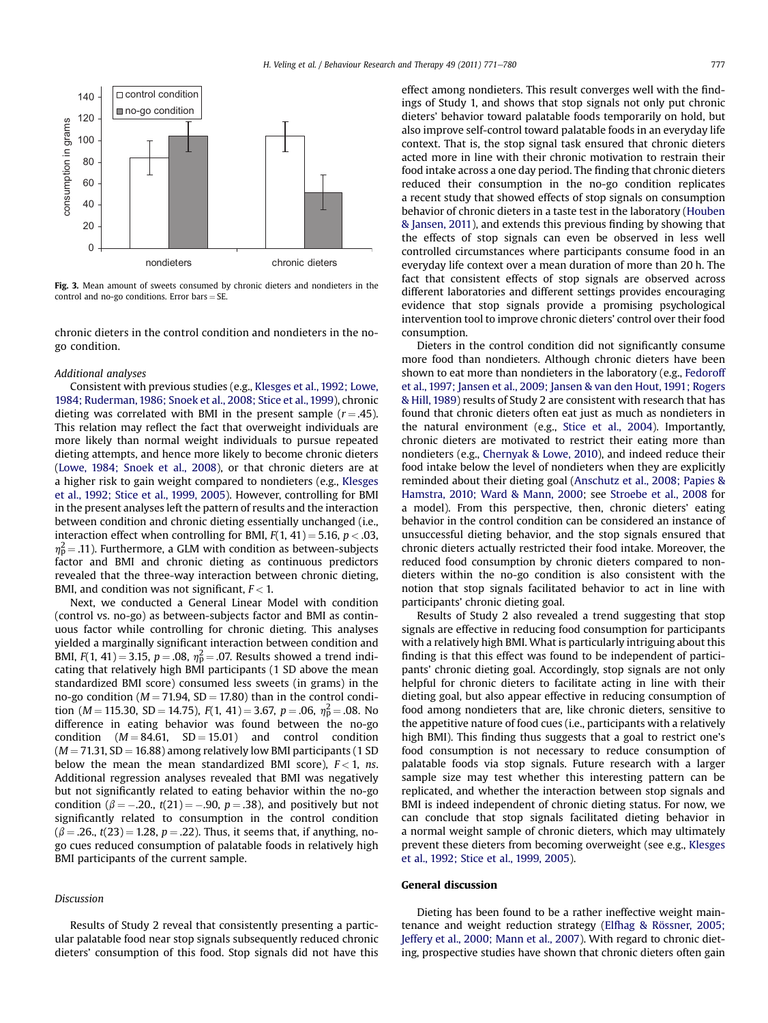<span id="page-6-0"></span>

Fig. 3. Mean amount of sweets consumed by chronic dieters and nondieters in the control and no-go conditions. Error bars  $=$  SE.

chronic dieters in the control condition and nondieters in the nogo condition.

#### Additional analyses

Consistent with previous studies (e.g., [Klesges et al., 1992; Lowe,](#page-8-0) [1984; Ruderman, 1986; Snoek et al., 2008; Stice et al., 1999\)](#page-8-0), chronic dieting was correlated with BMI in the present sample  $(r = .45)$ . This relation may reflect the fact that overweight individuals are more likely than normal weight individuals to pursue repeated dieting attempts, and hence more likely to become chronic dieters ([Lowe, 1984; Snoek et al., 2008](#page-8-0)), or that chronic dieters are at a higher risk to gain weight compared to nondieters (e.g., [Klesges](#page-8-0) [et al., 1992; Stice et al., 1999, 2005](#page-8-0)). However, controlling for BMI in the present analyses left the pattern of results and the interaction between condition and chronic dieting essentially unchanged (i.e., interaction effect when controlling for BMI,  $F(1, 41) = 5.16$ ,  $p < .03$ ,  $\eta_{\rm p}^2$  = .11). Furthermore, a GLM with condition as between-subjects factor and BMI and chronic dieting as continuous predictors revealed that the three-way interaction between chronic dieting, BMI, and condition was not significant,  $F < 1$ .

Next, we conducted a General Linear Model with condition (control vs. no-go) as between-subjects factor and BMI as continuous factor while controlling for chronic dieting. This analyses yielded a marginally significant interaction between condition and BMI,  $F(1, 41) = 3.15$ ,  $p = .08$ ,  $\eta_{p}^{2} = .07$ . Results showed a trend indicating that relatively high BMI participants (1 SD above the mean standardized BMI score) consumed less sweets (in grams) in the no-go condition ( $M = 71.94$ , SD = 17.80) than in the control condition (*M* = 115.30, SD = 14.75),  $F(1, 41) = 3.67$ ,  $p = .06$ ,  $\eta_p^2 = .08$ . No difference in eating behavior was found between the no-go condition  $(M = 84.61, SD = 15.01)$  and control condition  $(M = 71.31, SD = 16.88)$  among relatively low BMI participants (1 SD) below the mean the mean standardized BMI score),  $F < 1$ , ns. Additional regression analyses revealed that BMI was negatively but not significantly related to eating behavior within the no-go condition ( $\beta = -.20, t(21) = -.90, p = .38$ ), and positively but not significantly related to consumption in the control condition  $(\beta = .26., t(23) = 1.28, p = .22)$ . Thus, it seems that, if anything, nogo cues reduced consumption of palatable foods in relatively high BMI participants of the current sample.

#### Discussion

Results of Study 2 reveal that consistently presenting a particular palatable food near stop signals subsequently reduced chronic dieters' consumption of this food. Stop signals did not have this effect among nondieters. This result converges well with the findings of Study 1, and shows that stop signals not only put chronic dieters' behavior toward palatable foods temporarily on hold, but also improve self-control toward palatable foods in an everyday life context. That is, the stop signal task ensured that chronic dieters acted more in line with their chronic motivation to restrain their food intake across a one day period. The finding that chronic dieters reduced their consumption in the no-go condition replicates a recent study that showed effects of stop signals on consumption behavior of chronic dieters in a taste test in the laboratory ([Houben](#page-8-0) [& Jansen, 2011](#page-8-0)), and extends this previous finding by showing that the effects of stop signals can even be observed in less well controlled circumstances where participants consume food in an everyday life context over a mean duration of more than 20 h. The fact that consistent effects of stop signals are observed across different laboratories and different settings provides encouraging evidence that stop signals provide a promising psychological intervention tool to improve chronic dieters' control over their food consumption.

Dieters in the control condition did not significantly consume more food than nondieters. Although chronic dieters have been shown to eat more than nondieters in the laboratory (e.g., [Fedoroff](#page-8-0) [et al., 1997; Jansen et al., 2009; Jansen & van den Hout, 1991; Rogers](#page-8-0) [& Hill, 1989](#page-8-0)) results of Study 2 are consistent with research that has found that chronic dieters often eat just as much as nondieters in the natural environment (e.g., [Stice et al., 2004](#page-8-0)). Importantly, chronic dieters are motivated to restrict their eating more than nondieters (e.g., [Chernyak & Lowe, 2010\)](#page-8-0), and indeed reduce their food intake below the level of nondieters when they are explicitly reminded about their dieting goal ([Anschutz et al., 2008; Papies &](#page-7-0) [Hamstra, 2010; Ward & Mann, 2000](#page-7-0); see [Stroebe et al., 2008](#page-8-0) for a model). From this perspective, then, chronic dieters' eating behavior in the control condition can be considered an instance of unsuccessful dieting behavior, and the stop signals ensured that chronic dieters actually restricted their food intake. Moreover, the reduced food consumption by chronic dieters compared to nondieters within the no-go condition is also consistent with the notion that stop signals facilitated behavior to act in line with participants' chronic dieting goal.

Results of Study 2 also revealed a trend suggesting that stop signals are effective in reducing food consumption for participants with a relatively high BMI. What is particularly intriguing about this finding is that this effect was found to be independent of participants' chronic dieting goal. Accordingly, stop signals are not only helpful for chronic dieters to facilitate acting in line with their dieting goal, but also appear effective in reducing consumption of food among nondieters that are, like chronic dieters, sensitive to the appetitive nature of food cues (i.e., participants with a relatively high BMI). This finding thus suggests that a goal to restrict one's food consumption is not necessary to reduce consumption of palatable foods via stop signals. Future research with a larger sample size may test whether this interesting pattern can be replicated, and whether the interaction between stop signals and BMI is indeed independent of chronic dieting status. For now, we can conclude that stop signals facilitated dieting behavior in a normal weight sample of chronic dieters, which may ultimately prevent these dieters from becoming overweight (see e.g., [Klesges](#page-8-0) [et al., 1992; Stice et al., 1999, 2005\)](#page-8-0).

#### General discussion

Dieting has been found to be a rather ineffective weight maintenance and weight reduction strategy [\(Elfhag & Rössner, 2005;](#page-8-0) [Jeffery et al., 2000; Mann et al., 2007\)](#page-8-0). With regard to chronic dieting, prospective studies have shown that chronic dieters often gain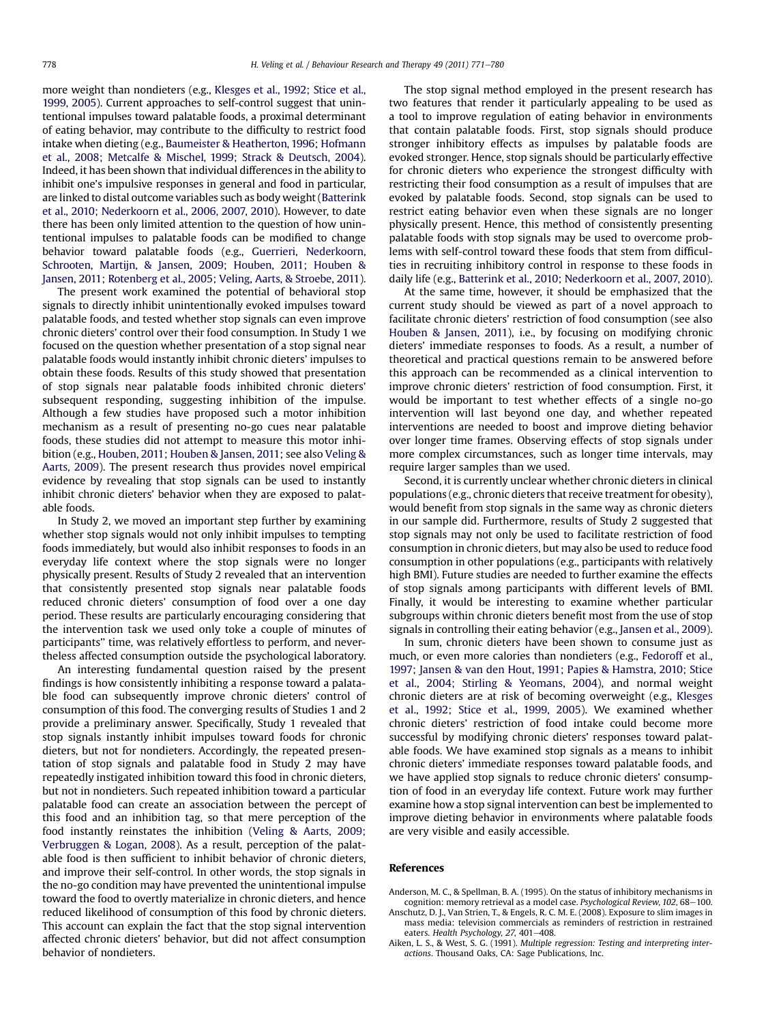<span id="page-7-0"></span>more weight than nondieters (e.g., [Klesges et al., 1992; Stice et al.,](#page-8-0) [1999, 2005\)](#page-8-0). Current approaches to self-control suggest that unintentional impulses toward palatable foods, a proximal determinant of eating behavior, may contribute to the difficulty to restrict food intake when dieting (e.g., [Baumeister & Heatherton, 1996; Hofmann](#page-8-0) [et al., 2008; Metcalfe & Mischel, 1999; Strack & Deutsch, 2004\)](#page-8-0). Indeed, it has been shown that individual differences in the ability to inhibit one's impulsive responses in general and food in particular, are linked to distal outcome variables such as body weight ([Batterink](#page-8-0) [et al., 2010; Nederkoorn et al., 2006, 2007, 2010\)](#page-8-0). However, to date there has been only limited attention to the question of how unintentional impulses to palatable foods can be modified to change behavior toward palatable foods (e.g., [Guerrieri, Nederkoorn,](#page-8-0) [Schrooten, Martijn, & Jansen, 2009; Houben, 2011; Houben &](#page-8-0) [Jansen, 2011; Rotenberg et al., 2005; Veling, Aarts, & Stroebe, 2011\)](#page-8-0).

The present work examined the potential of behavioral stop signals to directly inhibit unintentionally evoked impulses toward palatable foods, and tested whether stop signals can even improve chronic dieters' control over their food consumption. In Study 1 we focused on the question whether presentation of a stop signal near palatable foods would instantly inhibit chronic dieters' impulses to obtain these foods. Results of this study showed that presentation of stop signals near palatable foods inhibited chronic dieters' subsequent responding, suggesting inhibition of the impulse. Although a few studies have proposed such a motor inhibition mechanism as a result of presenting no-go cues near palatable foods, these studies did not attempt to measure this motor inhibition (e.g., [Houben, 2011; Houben & Jansen, 2011](#page-8-0); see also [Veling &](#page-8-0) [Aarts, 2009\)](#page-8-0). The present research thus provides novel empirical evidence by revealing that stop signals can be used to instantly inhibit chronic dieters' behavior when they are exposed to palatable foods.

In Study 2, we moved an important step further by examining whether stop signals would not only inhibit impulses to tempting foods immediately, but would also inhibit responses to foods in an everyday life context where the stop signals were no longer physically present. Results of Study 2 revealed that an intervention that consistently presented stop signals near palatable foods reduced chronic dieters' consumption of food over a one day period. These results are particularly encouraging considering that the intervention task we used only toke a couple of minutes of participants'' time, was relatively effortless to perform, and nevertheless affected consumption outside the psychological laboratory.

An interesting fundamental question raised by the present findings is how consistently inhibiting a response toward a palatable food can subsequently improve chronic dieters' control of consumption of this food. The converging results of Studies 1 and 2 provide a preliminary answer. Specifically, Study 1 revealed that stop signals instantly inhibit impulses toward foods for chronic dieters, but not for nondieters. Accordingly, the repeated presentation of stop signals and palatable food in Study 2 may have repeatedly instigated inhibition toward this food in chronic dieters, but not in nondieters. Such repeated inhibition toward a particular palatable food can create an association between the percept of this food and an inhibition tag, so that mere perception of the food instantly reinstates the inhibition [\(Veling & Aarts, 2009;](#page-8-0) [Verbruggen & Logan, 2008](#page-8-0)). As a result, perception of the palatable food is then sufficient to inhibit behavior of chronic dieters, and improve their self-control. In other words, the stop signals in the no-go condition may have prevented the unintentional impulse toward the food to overtly materialize in chronic dieters, and hence reduced likelihood of consumption of this food by chronic dieters. This account can explain the fact that the stop signal intervention affected chronic dieters' behavior, but did not affect consumption behavior of nondieters.

The stop signal method employed in the present research has two features that render it particularly appealing to be used as a tool to improve regulation of eating behavior in environments that contain palatable foods. First, stop signals should produce stronger inhibitory effects as impulses by palatable foods are evoked stronger. Hence, stop signals should be particularly effective for chronic dieters who experience the strongest difficulty with restricting their food consumption as a result of impulses that are evoked by palatable foods. Second, stop signals can be used to restrict eating behavior even when these signals are no longer physically present. Hence, this method of consistently presenting palatable foods with stop signals may be used to overcome problems with self-control toward these foods that stem from difficulties in recruiting inhibitory control in response to these foods in daily life (e.g., [Batterink et al., 2010; Nederkoorn et al., 2007, 2010\)](#page-8-0).

At the same time, however, it should be emphasized that the current study should be viewed as part of a novel approach to facilitate chronic dieters' restriction of food consumption (see also [Houben & Jansen, 2011\)](#page-8-0), i.e., by focusing on modifying chronic dieters' immediate responses to foods. As a result, a number of theoretical and practical questions remain to be answered before this approach can be recommended as a clinical intervention to improve chronic dieters' restriction of food consumption. First, it would be important to test whether effects of a single no-go intervention will last beyond one day, and whether repeated interventions are needed to boost and improve dieting behavior over longer time frames. Observing effects of stop signals under more complex circumstances, such as longer time intervals, may require larger samples than we used.

Second, it is currently unclear whether chronic dieters in clinical populations (e.g., chronic dieters that receive treatment for obesity), would benefit from stop signals in the same way as chronic dieters in our sample did. Furthermore, results of Study 2 suggested that stop signals may not only be used to facilitate restriction of food consumption in chronic dieters, but may also be used to reduce food consumption in other populations (e.g., participants with relatively high BMI). Future studies are needed to further examine the effects of stop signals among participants with different levels of BMI. Finally, it would be interesting to examine whether particular subgroups within chronic dieters benefit most from the use of stop signals in controlling their eating behavior (e.g., [Jansen et al., 2009\)](#page-8-0).

In sum, chronic dieters have been shown to consume just as much, or even more calories than nondieters (e.g., [Fedoroff et al.,](#page-8-0) [1997; Jansen & van den Hout, 1991; Papies & Hamstra, 2010; Stice](#page-8-0) [et al., 2004; Stirling & Yeomans, 2004](#page-8-0)), and normal weight chronic dieters are at risk of becoming overweight (e.g., [Klesges](#page-8-0) [et al., 1992; Stice et al., 1999, 2005\)](#page-8-0). We examined whether chronic dieters' restriction of food intake could become more successful by modifying chronic dieters' responses toward palatable foods. We have examined stop signals as a means to inhibit chronic dieters' immediate responses toward palatable foods, and we have applied stop signals to reduce chronic dieters' consumption of food in an everyday life context. Future work may further examine how a stop signal intervention can best be implemented to improve dieting behavior in environments where palatable foods are very visible and easily accessible.

#### References

Anderson, M. C., & Spellman, B. A. (1995). On the status of inhibitory mechanisms in cognition: memory retrieval as a model case. Psychological Review, 102, 68-100.

- Anschutz, D. J., Van Strien, T., & Engels, R. C. M. E. (2008). Exposure to slim images in mass media: television commercials as reminders of restriction in restrained eaters. Health Psychology, 27, 401-408.
- Aiken, L. S., & West, S. G. (1991). Multiple regression: Testing and interpreting interactions. Thousand Oaks, CA: Sage Publications, Inc.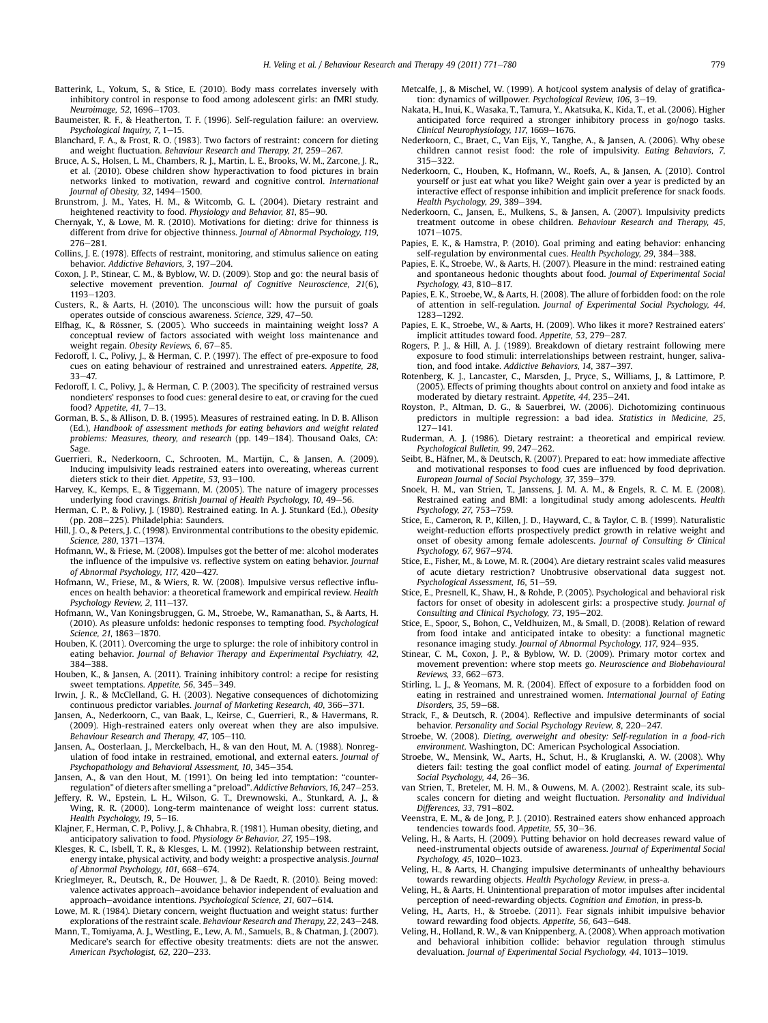- <span id="page-8-0"></span>Batterink, L., Yokum, S., & Stice, E. (2010). Body mass correlates inversely with inhibitory control in response to food among adolescent girls: an fMRI study. Neuroimage, 52, 1696-1703.
- Baumeister, R. F., & Heatherton, T. F. (1996). Self-regulation failure: an overview. Psychological Inquiry, 7, 1-15.
- Blanchard, F. A., & Frost, R. O. (1983). Two factors of restraint: concern for dieting and weight fluctuation. Behaviour Research and Therapy, 21, 259-267.
- Bruce, A. S., Holsen, L. M., Chambers, R. J., Martin, L. E., Brooks, W. M., Zarcone, J. R., et al. (2010). Obese children show hyperactivation to food pictures in brain networks linked to motivation, reward and cognitive control. International Iournal of Obesity,  $32.1494 - 1500$ .
- Brunstrom, J. M., Yates, H. M., & Witcomb, G. L. (2004). Dietary restraint and heightened reactivity to food. Physiology and Behavior, 81, 85-90.
- Chernyak, Y., & Lowe, M. R. (2010). Motivations for dieting: drive for thinness is different from drive for objective thinness. Journal of Abnormal Psychology, 119, 276-281.
- Collins, J. E. (1978). Effects of restraint, monitoring, and stimulus salience on eating behavior. Addictive Behaviors, 3, 197-204.
- Coxon, J. P., Stinear, C. M., & Byblow, W. D. (2009). Stop and go: the neural basis of selective movement prevention. Journal of Cognitive Neuroscience, 21(6), 1193-1203
- Custers, R., & Aarts, H. (2010). The unconscious will: how the pursuit of goals operates outside of conscious awareness. Science, 329, 47-50.
- Elfhag, K., & Rössner, S. (2005). Who succeeds in maintaining weight loss? A conceptual review of factors associated with weight loss maintenance and weight regain. Obesity Reviews, 6, 67-85.
- Fedoroff, I. C., Polivy, J., & Herman, C. P. (1997). The effect of pre-exposure to food cues on eating behaviour of restrained and unrestrained eaters. Appetite, 28,  $33 - 47$
- Fedoroff, I. C., Polivy, J., & Herman, C. P. (2003). The specificity of restrained versus nondieters' responses to food cues: general desire to eat, or craving for the cued food? Appetite,  $41$ ,  $7-13$ .
- Gorman, B. S., & Allison, D. B. (1995). Measures of restrained eating. In D. B. Allison (Ed.), Handbook of assessment methods for eating behaviors and weight related problems: Measures, theory, and research (pp. 149-184). Thousand Oaks, CA: Sage.
- Guerrieri, R., Nederkoorn, C., Schrooten, M., Martijn, C., & Jansen, A. (2009). Inducing impulsivity leads restrained eaters into overeating, whereas current dieters stick to their diet. Appetite, 53, 93-100.
- Harvey, K., Kemps, E., & Tiggemann, M. (2005). The nature of imagery processes underlying food cravings. British Journal of Health Psychology, 10, 49-56.
- Herman, C. P., & Polivy, J. (1980). Restrained eating. In A. J. Stunkard (Ed.), Obesity (pp. 208-225). Philadelphia: Saunders.
- Hill, J. O., & Peters, J. C. (1998). Environmental contributions to the obesity epidemic. Science, 280, 1371-1374.
- Hofmann, W., & Friese, M. (2008). Impulses got the better of me: alcohol moderates the influence of the impulsive vs. reflective system on eating behavior. Journal of Abnormal Psychology, 117, 420-427.
- Hofmann, W., Friese, M., & Wiers, R. W. (2008). Impulsive versus reflective influences on health behavior: a theoretical framework and empirical review. Health Psychology Review, 2, 111-137.
- Hofmann, W., Van Koningsbruggen, G. M., Stroebe, W., Ramanathan, S., & Aarts, H. (2010). As pleasure unfolds: hedonic responses to tempting food. Psychological Science, 21, 1863-1870.
- Houben, K. (2011). Overcoming the urge to splurge: the role of inhibitory control in eating behavior. Journal of Behavior Therapy and Experimental Psychiatry, 42, 384-388.
- Houben, K., & Jansen, A. (2011). Training inhibitory control: a recipe for resisting sweet temptations. Appetite, 56, 345-349.
- Irwin, J. R., & McClelland, G. H. (2003). Negative consequences of dichotomizing continuous predictor variables. Journal of Marketing Research, 40, 366-371.
- Jansen, A., Nederkoorn, C., van Baak, L., Keirse, C., Guerrieri, R., & Havermans, R. (2009). High-restrained eaters only overeat when they are also impulsive. Behaviour Research and Therapy, 47, 105-110.
- Jansen, A., Oosterlaan, J., Merckelbach, H., & van den Hout, M. A. (1988). Nonregulation of food intake in restrained, emotional, and external eaters. Journal of Psychopathology and Behavioral Assessment, 10, 345-354.
- Jansen, A., & van den Hout, M. (1991). On being led into temptation: "counterregulation" of dieters after smelling a "preload". Addictive Behaviors, 16, 247-253.
- Jeffery, R. W., Epstein, L. H., Wilson, G. T., Drewnowski, A., Stunkard, A. J., & Wing, R. R. (2000). Long-term maintenance of weight loss: current status. Health Psychology, 19, 5-16.
- Klajner, F., Herman, C. P., Polivy, J., & Chhabra, R. (1981). Human obesity, dieting, and anticipatory salivation to food. Physiology & Behavior, 27, 195-198.
- Klesges, R. C., Isbell, T. R., & Klesges, L. M. (1992). Relationship between restraint, energy intake, physical activity, and body weight: a prospective analysis. Journal of Abnormal Psychology, 101, 668-674.
- Krieglmeyer, R., Deutsch, R., De Houwer, J., & De Raedt, R. (2010). Being moved: valence activates approach-avoidance behavior independent of evaluation and approach-avoidance intentions. Psychological Science, 21, 607-614.
- Lowe, M. R. (1984). Dietary concern, weight fluctuation and weight status: further explorations of the restraint scale. Behaviour Research and Therapy, 22, 243–248.
- Mann, T., Tomiyama, A. J., Westling, E., Lew, A. M., Samuels, B., & Chatman, J. (2007). Medicare's search for effective obesity treatments: diets are not the answer. American Psychologist, 62, 220-233.
- Metcalfe, J., & Mischel, W. (1999). A hot/cool system analysis of delay of gratification: dynamics of willpower. Psychological Review, 106, 3-19.
- Nakata, H., Inui, K., Wasaka, T., Tamura, Y., Akatsuka, K., Kida, T., et al. (2006). Higher anticipated force required a stronger inhibitory process in go/nogo tasks. Clinical Neurophysiology, 117, 1669-1676.
- Nederkoorn, C., Braet, C., Van Eijs, Y., Tanghe, A., & Jansen, A. (2006). Why obese children cannot resist food: the role of impulsivity. Eating Behaviors, 7,  $315 - 322.$
- Nederkoorn, C., Houben, K., Hofmann, W., Roefs, A., & Jansen, A. (2010). Control yourself or just eat what you like? Weight gain over a year is predicted by an interactive effect of response inhibition and implicit preference for snack foods. Health Psychology,  $29.389 - 394.$
- Nederkoorn, C., Jansen, E., Mulkens, S., & Jansen, A. (2007). Impulsivity predicts treatment outcome in obese children. Behaviour Research and Therapy, 45, 1071-1075.
- Papies, E. K., & Hamstra, P. (2010). Goal priming and eating behavior: enhancing self-regulation by environmental cues. Health Psychology, 29, 384-388.
- Papies, E. K., Stroebe, W., & Aarts, H. (2007). Pleasure in the mind: restrained eating and spontaneous hedonic thoughts about food. Journal of Experimental Social Psychology, 43, 810-817.
- Papies, E. K., Stroebe, W., & Aarts, H. (2008). The allure of forbidden food: on the role of attention in self-regulation. Journal of Experimental Social Psychology, 44, 1283-1292.
- Papies, E. K., Stroebe, W., & Aarts, H. (2009). Who likes it more? Restrained eaters' implicit attitudes toward food. Appetite, 53, 279-287.
- Rogers, P. J., & Hill, A. J. (1989). Breakdown of dietary restraint following mere exposure to food stimuli: interrelationships between restraint, hunger, salivation, and food intake. Addictive Behaviors, 14, 387-397.
- Rotenberg, K. J., Lancaster, C., Marsden, J., Pryce, S., Williams, J., & Lattimore, P. (2005). Effects of priming thoughts about control on anxiety and food intake as moderated by dietary restraint. Appetite, 44, 235-241.
- Royston, P., Altman, D. G., & Sauerbrei, W. (2006). Dichotomizing continuous predictors in multiple regression: a bad idea. Statistics in Medicine, 25,  $127 - 141.$
- Ruderman, A. J. (1986). Dietary restraint: a theoretical and empirical review. Psychological Bulletin, 99, 247-262
- Seibt, B., Häfner, M., & Deutsch, R. (2007). Prepared to eat: how immediate affective and motivational responses to food cues are influenced by food deprivation. European Journal of Social Psychology, 37, 359-379.
- Snoek, H. M., van Strien, T., Janssens, J. M. A. M., & Engels, R. C. M. E. (2008). Restrained eating and BMI: a longitudinal study among adolescents. Health Psychology, 27, 753-759.
- Stice, E., Cameron, R. P., Killen, J. D., Hayward, C., & Taylor, C. B. (1999). Naturalistic weight-reduction efforts prospectively predict growth in relative weight and onset of obesity among female adolescents. Journal of Consulting & Clinical Psychology, 67, 967-974.
- Stice, E., Fisher, M., & Lowe, M. R. (2004). Are dietary restraint scales valid measures of acute dietary restriction? Unobtrusive observational data suggest not. Psychological Assessment, 16, 51-59.
- Stice, E., Presnell, K., Shaw, H., & Rohde, P. (2005). Psychological and behavioral risk factors for onset of obesity in adolescent girls: a prospective study. Journal of Consulting and Clinical Psychology, 73, 195-202.
- Stice, E., Spoor, S., Bohon, C., Veldhuizen, M., & Small, D. (2008). Relation of reward from food intake and anticipated intake to obesity: a functional magnetic resonance imaging study. Journal of Abnormal Psychology, 117, 924-935.
- Stinear, C. M., Coxon, J. P., & Byblow, W. D. (2009). Primary motor cortex and movement prevention: where stop meets go. Neuroscience and Biobehavioural Reviews, 33, 662-673.
- Stirling, L. J., & Yeomans, M. R. (2004). Effect of exposure to a forbidden food on eating in restrained and unrestrained women. International Journal of Eating Disorders, 35, 59-68.
- Strack, F., & Deutsch, R. (2004). Reflective and impulsive determinants of social behavior. Personality and Social Psychology Review, 8, 220-247.
- Stroebe, W. (2008). Dieting, overweight and obesity: Self-regulation in a food-rich environment. Washington, DC: American Psychological Association.
- Stroebe, W., Mensink, W., Aarts, H., Schut, H., & Kruglanski, A. W. (2008). Why dieters fail: testing the goal conflict model of eating. Journal of Experimental Social Psychology, 44, 26-36.
- van Strien, T., Breteler, M. H. M., & Ouwens, M. A. (2002). Restraint scale, its subscales concern for dieting and weight fluctuation. Personality and Individual Differences, 33, 791-802.
- Veenstra, E. M., & de Jong, P. J. (2010). Restrained eaters show enhanced approach tendencies towards food. Appetite, 55, 30-36.
- Veling, H., & Aarts, H. (2009). Putting behavior on hold decreases reward value of need-instrumental objects outside of awareness. Journal of Experimental Social Psychology, 45, 1020-1023.
- Veling, H., & Aarts, H. Changing impulsive determinants of unhealthy behaviours towards rewarding objects. Health Psychology Review, in press-a.
- Veling, H., & Aarts, H. Unintentional preparation of motor impulses after incidental perception of need-rewarding objects. Cognition and Emotion, in press-b.
- Veling, H., Aarts, H., & Stroebe. (2011). Fear signals inhibit impulsive behavior toward rewarding food objects. Appetite, 56, 643-648.
- Veling, H., Holland, R. W., & van Knippenberg, A. (2008). When approach motivation and behavioral inhibition collide: behavior regulation through stimulus devaluation. Journal of Experimental Social Psychology, 44, 1013-1019.